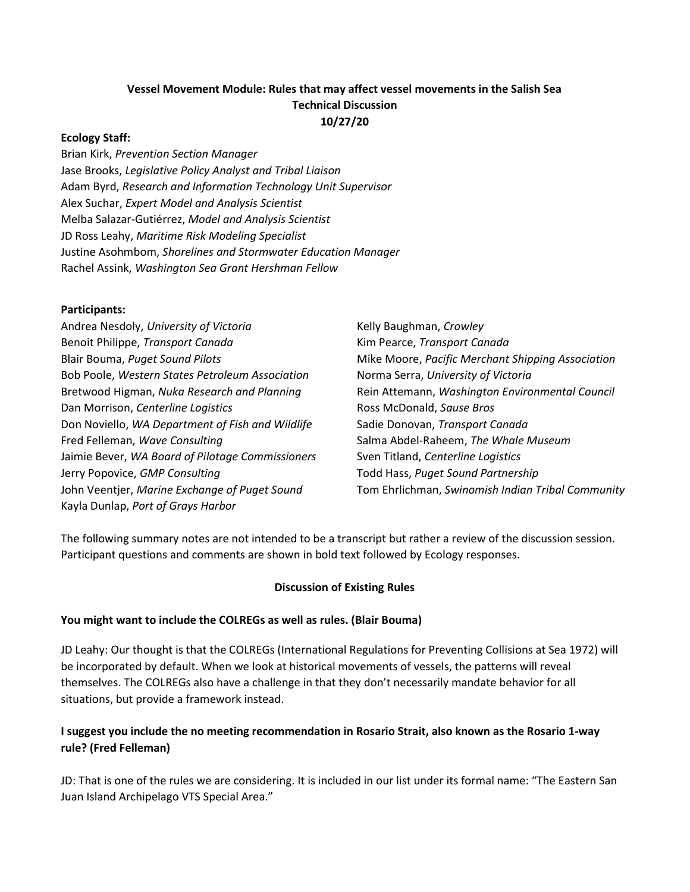### Vessel Movement Module: Rules that may affect vessel movements in the Salish Sea Technical Discussion 10/27/20

#### Ecology Staff:

Brian Kirk, Prevention Section Manager Jase Brooks, Legislative Policy Analyst and Tribal Liaison Adam Byrd, Research and Information Technology Unit Supervisor Alex Suchar, Expert Model and Analysis Scientist Melba Salazar-Gutiérrez, Model and Analysis Scientist JD Ross Leahy, Maritime Risk Modeling Specialist Justine Asohmbom, Shorelines and Stormwater Education Manager Rachel Assink, Washington Sea Grant Hershman Fellow

#### Participants:

| Andrea Nesdoly, University of Victoria           | Kelly Baughman, Crowley                           |
|--------------------------------------------------|---------------------------------------------------|
| Benoit Philippe, Transport Canada                | Kim Pearce, Transport Canada                      |
| Blair Bouma, Puget Sound Pilots                  | Mike Moore, Pacific Merchant Shipping Association |
| Bob Poole, Western States Petroleum Association  | Norma Serra, University of Victoria               |
| Bretwood Higman, Nuka Research and Planning      | Rein Attemann, Washington Environmental Council   |
| Dan Morrison, Centerline Logistics               | Ross McDonald, Sause Bros                         |
| Don Noviello, WA Department of Fish and Wildlife | Sadie Donovan, Transport Canada                   |
| Fred Felleman, Wave Consulting                   | Salma Abdel-Raheem, The Whale Museum              |
| Jaimie Bever, WA Board of Pilotage Commissioners | Sven Titland, Centerline Logistics                |
| Jerry Popovice, GMP Consulting                   | Todd Hass, Puget Sound Partnership                |
| John Veentjer, Marine Exchange of Puget Sound    | Tom Ehrlichman, Swinomish Indian Tribal Community |
| Kayla Dunlap, Port of Grays Harbor               |                                                   |

The following summary notes are not intended to be a transcript but rather a review of the discussion session. Participant questions and comments are shown in bold text followed by Ecology responses.

#### Discussion of Existing Rules

#### You might want to include the COLREGs as well as rules. (Blair Bouma)

JD Leahy: Our thought is that the COLREGs (International Regulations for Preventing Collisions at Sea 1972) will be incorporated by default. When we look at historical movements of vessels, the patterns will reveal themselves. The COLREGs also have a challenge in that they don't necessarily mandate behavior for all situations, but provide a framework instead.

### I suggest you include the no meeting recommendation in Rosario Strait, also known as the Rosario 1-way rule? (Fred Felleman)

JD: That is one of the rules we are considering. It is included in our list under its formal name: "The Eastern San Juan Island Archipelago VTS Special Area."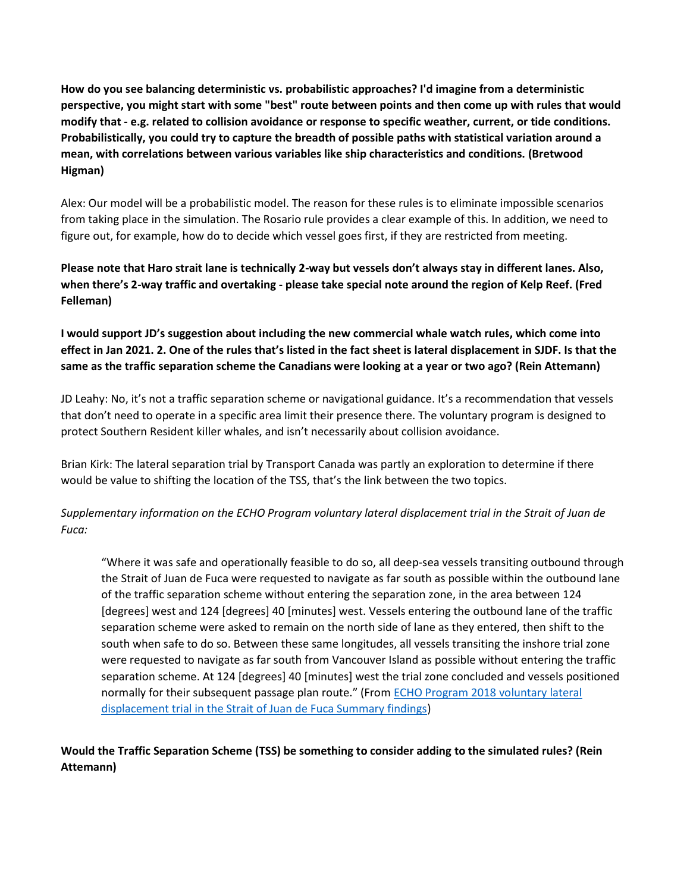How do you see balancing deterministic vs. probabilistic approaches? I'd imagine from a deterministic perspective, you might start with some "best" route between points and then come up with rules that would modify that - e.g. related to collision avoidance or response to specific weather, current, or tide conditions. Probabilistically, you could try to capture the breadth of possible paths with statistical variation around a mean, with correlations between various variables like ship characteristics and conditions. (Bretwood Higman)

Alex: Our model will be a probabilistic model. The reason for these rules is to eliminate impossible scenarios from taking place in the simulation. The Rosario rule provides a clear example of this. In addition, we need to figure out, for example, how do to decide which vessel goes first, if they are restricted from meeting.

Please note that Haro strait lane is technically 2-way but vessels don't always stay in different lanes. Also, when there's 2-way traffic and overtaking - please take special note around the region of Kelp Reef. (Fred Felleman)

I would support JD's suggestion about including the new commercial whale watch rules, which come into effect in Jan 2021. 2. One of the rules that's listed in the fact sheet is lateral displacement in SJDF. Is that the same as the traffic separation scheme the Canadians were looking at a year or two ago? (Rein Attemann)

JD Leahy: No, it's not a traffic separation scheme or navigational guidance. It's a recommendation that vessels that don't need to operate in a specific area limit their presence there. The voluntary program is designed to protect Southern Resident killer whales, and isn't necessarily about collision avoidance.

Brian Kirk: The lateral separation trial by Transport Canada was partly an exploration to determine if there would be value to shifting the location of the TSS, that's the link between the two topics.

Supplementary information on the ECHO Program voluntary lateral displacement trial in the Strait of Juan de Fuca:

"Where it was safe and operationally feasible to do so, all deep-sea vessels transiting outbound through the Strait of Juan de Fuca were requested to navigate as far south as possible within the outbound lane of the traffic separation scheme without entering the separation zone, in the area between 124 [degrees] west and 124 [degrees] 40 [minutes] west. Vessels entering the outbound lane of the traffic separation scheme were asked to remain on the north side of lane as they entered, then shift to the south when safe to do so. Between these same longitudes, all vessels transiting the inshore trial zone were requested to navigate as far south from Vancouver Island as possible without entering the traffic separation scheme. At 124 [degrees] 40 [minutes] west the trial zone concluded and vessels positioned normally for their subsequent passage plan route." (From ECHO Program 2018 voluntary lateral displacement trial in the Strait of Juan de Fuca Summary findings)

# Would the Traffic Separation Scheme (TSS) be something to consider adding to the simulated rules? (Rein Attemann)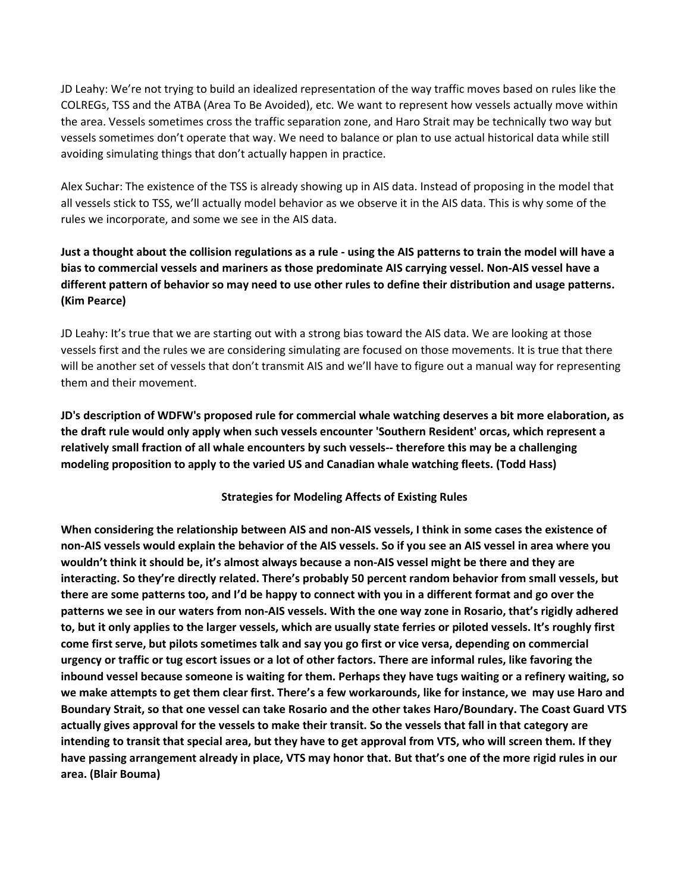JD Leahy: We're not trying to build an idealized representation of the way traffic moves based on rules like the COLREGs, TSS and the ATBA (Area To Be Avoided), etc. We want to represent how vessels actually move within the area. Vessels sometimes cross the traffic separation zone, and Haro Strait may be technically two way but vessels sometimes don't operate that way. We need to balance or plan to use actual historical data while still avoiding simulating things that don't actually happen in practice.

Alex Suchar: The existence of the TSS is already showing up in AIS data. Instead of proposing in the model that all vessels stick to TSS, we'll actually model behavior as we observe it in the AIS data. This is why some of the rules we incorporate, and some we see in the AIS data.

# Just a thought about the collision regulations as a rule - using the AIS patterns to train the model will have a bias to commercial vessels and mariners as those predominate AIS carrying vessel. Non-AIS vessel have a different pattern of behavior so may need to use other rules to define their distribution and usage patterns. (Kim Pearce)

JD Leahy: It's true that we are starting out with a strong bias toward the AIS data. We are looking at those vessels first and the rules we are considering simulating are focused on those movements. It is true that there will be another set of vessels that don't transmit AIS and we'll have to figure out a manual way for representing them and their movement.

JD's description of WDFW's proposed rule for commercial whale watching deserves a bit more elaboration, as the draft rule would only apply when such vessels encounter 'Southern Resident' orcas, which represent a relatively small fraction of all whale encounters by such vessels-- therefore this may be a challenging modeling proposition to apply to the varied US and Canadian whale watching fleets. (Todd Hass)

#### Strategies for Modeling Affects of Existing Rules

When considering the relationship between AIS and non-AIS vessels, I think in some cases the existence of non-AIS vessels would explain the behavior of the AIS vessels. So if you see an AIS vessel in area where you wouldn't think it should be, it's almost always because a non-AIS vessel might be there and they are interacting. So they're directly related. There's probably 50 percent random behavior from small vessels, but there are some patterns too, and I'd be happy to connect with you in a different format and go over the patterns we see in our waters from non-AIS vessels. With the one way zone in Rosario, that's rigidly adhered to, but it only applies to the larger vessels, which are usually state ferries or piloted vessels. It's roughly first come first serve, but pilots sometimes talk and say you go first or vice versa, depending on commercial urgency or traffic or tug escort issues or a lot of other factors. There are informal rules, like favoring the inbound vessel because someone is waiting for them. Perhaps they have tugs waiting or a refinery waiting, so we make attempts to get them clear first. There's a few workarounds, like for instance, we may use Haro and Boundary Strait, so that one vessel can take Rosario and the other takes Haro/Boundary. The Coast Guard VTS actually gives approval for the vessels to make their transit. So the vessels that fall in that category are intending to transit that special area, but they have to get approval from VTS, who will screen them. If they have passing arrangement already in place, VTS may honor that. But that's one of the more rigid rules in our area. (Blair Bouma)